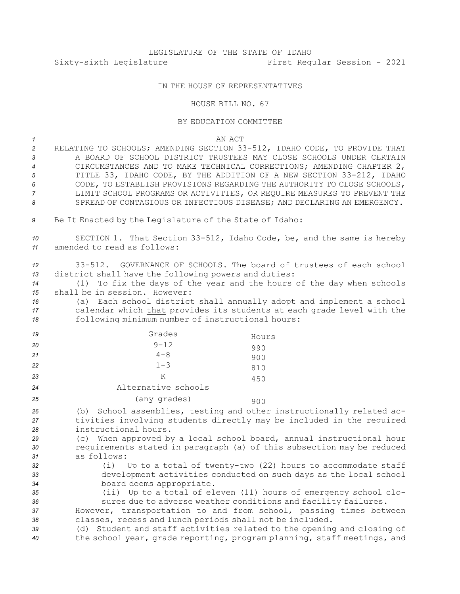## IN THE HOUSE OF REPRESENTATIVES

## HOUSE BILL NO. 67

## BY EDUCATION COMMITTEE

*1* AN ACT

- *<sup>2</sup>* RELATING TO SCHOOLS; AMENDING SECTION 33-512, IDAHO CODE, TO PROVIDE THAT *3* A BOARD OF SCHOOL DISTRICT TRUSTEES MAY CLOSE SCHOOLS UNDER CERTAIN *<sup>4</sup>* CIRCUMSTANCES AND TO MAKE TECHNICAL CORRECTIONS; AMENDING CHAPTER 2, *<sup>5</sup>* TITLE 33, IDAHO CODE, BY THE ADDITION OF A NEW SECTION 33-212, IDAHO *6* CODE, TO ESTABLISH PROVISIONS REGARDING THE AUTHORITY TO CLOSE SCHOOLS, *7* LIMIT SCHOOL PROGRAMS OR ACTIVITIES, OR REQUIRE MEASURES TO PREVENT THE 8 SPREAD OF CONTAGIOUS OR INFECTIOUS DISEASE; AND DECLARING AN EMERGENCY.
- 9 Be It Enacted by the Legislature of the State of Idaho:

*<sup>10</sup>* SECTION 1. That Section 33-512, Idaho Code, be, and the same is hereby *11* amended to read as follows:

*12* 33-512. GOVERNANCE OF SCHOOLS. The board of trustees of each school *<sup>13</sup>* district shall have the following powers and duties:

*<sup>14</sup>* (1) To fix the days of the year and the hours of the day when schools *15* shall be in session. However:

*<sup>16</sup>* (a) Each school district shall annually adopt and implement <sup>a</sup> school *<sup>17</sup>* calendar which that provides its students at each grade level with the *<sup>18</sup>* following minimum number of instructional hours:

| 19 | Grades              | Hours |
|----|---------------------|-------|
| 20 | $9 - 12$            | 990   |
| 21 | $4 - 8$             | 900   |
| 22 | $1 - 3$             | 810   |
| 23 | Κ                   | 450   |
| 24 | Alternative schools |       |
| 25 | (any grades)        | 900   |

*<sup>26</sup>* (b) School assemblies, testing and other instructionally related ac-*<sup>27</sup>* tivities involving students directly may be included in the required *28* instructional hours.

*<sup>29</sup>* (c) When approved by <sup>a</sup> local school board, annual instructional hour *<sup>30</sup>* requirements stated in paragraph (a) of this subsection may be reduced *31* as follows:

*<sup>32</sup>* (i) Up to <sup>a</sup> total of twenty-two (22) hours to accommodate staff *<sup>33</sup>* development activities conducted on such days as the local school *<sup>34</sup>* board deems appropriate.

*<sup>35</sup>* (ii) Up to <sup>a</sup> total of eleven (11) hours of emergency school clo-*<sup>36</sup>* sures due to adverse weather conditions and facility failures.

*<sup>37</sup>* However, transportation to and from school, passing times between *<sup>38</sup>* classes, recess and lunch periods shall not be included.

*<sup>39</sup>* (d) Student and staff activities related to the opening and closing of *<sup>40</sup>* the school year, grade reporting, program planning, staff meetings, and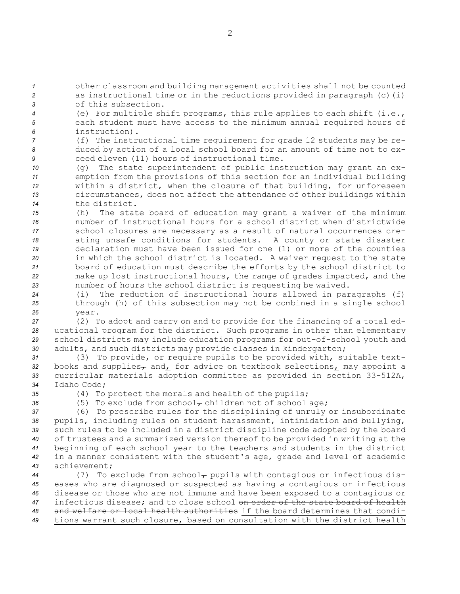*<sup>1</sup>* other classroom and building management activities shall not be counted *<sup>2</sup>* as instructional time or in the reductions provided in paragraph (c)(i) *3* of this subsection.

*<sup>4</sup>* (e) For multiple shift programs, this rule applies to each shift (i.e., *<sup>5</sup>* each student must have access to the minimum annual required hours of *6* instruction).

*<sup>7</sup>* (f) The instructional time requirement for grade 12 students may be re-*<sup>8</sup>* duced by action of <sup>a</sup> local school board for an amount of time not to ex-*9* ceed eleven (11) hours of instructional time.

 (g) The state superintendent of public instruction may grant an ex- emption from the provisions of this section for an individual building within <sup>a</sup> district, when the closure of that building, for unforeseen circumstances, does not affect the attendance of other buildings within the district.

 (h) The state board of education may grant <sup>a</sup> waiver of the minimum number of instructional hours for <sup>a</sup> school district when districtwide school closures are necessary as <sup>a</sup> result of natural occurrences cre- ating unsafe conditions for students. <sup>A</sup> county or state disaster declaration must have been issued for one (1) or more of the counties in which the school district is located. <sup>A</sup> waiver request to the state board of education must describe the efforts by the school district to make up lost instructional hours, the range of grades impacted, and the number of hours the school district is requesting be waived.

*<sup>24</sup>* (i) The reduction of instructional hours allowed in paragraphs (f) *<sup>25</sup>* through (h) of this subsection may not be combined in <sup>a</sup> single school *26* year.

 (2) To adopt and carry on and to provide for the financing of <sup>a</sup> total ed- ucational program for the district. Such programs in other than elementary school districts may include education programs for out-of-school youth and adults, and such districts may provide classes in kindergarten;

 (3) To provide, or require pupils to be provided with, suitable text-32 books and supplies<sub>7</sub> and<sub>L</sub> for advice on textbook selections<sub>L</sub> may appoint a curricular materials adoption committee as provided in section 33-512A, Idaho Code;

*<sup>35</sup>* (4) To protect the morals and health of the pupils;

36  $(5)$  To exclude from school<sub> $\tau$ </sub> children not of school age;

 (6) To prescribe rules for the disciplining of unruly or insubordinate pupils, including rules on student harassment, intimidation and bullying, such rules to be included in <sup>a</sup> district discipline code adopted by the board of trustees and <sup>a</sup> summarized version thereof to be provided in writing at the beginning of each school year to the teachers and students in the district in <sup>a</sup> manner consistent with the student's age, grade and level of academic achievement;

44 (7) To exclude from school<sub> $\tau$ </sub> pupils with contagious or infectious dis- eases who are diagnosed or suspected as having <sup>a</sup> contagious or infectious disease or those who are not immune and have been exposed to <sup>a</sup> contagious or infectious disease; and to close school on order of the state board of health and welfare or local health authorities if the board determines that condi-tions warrant such closure, based on consultation with the district health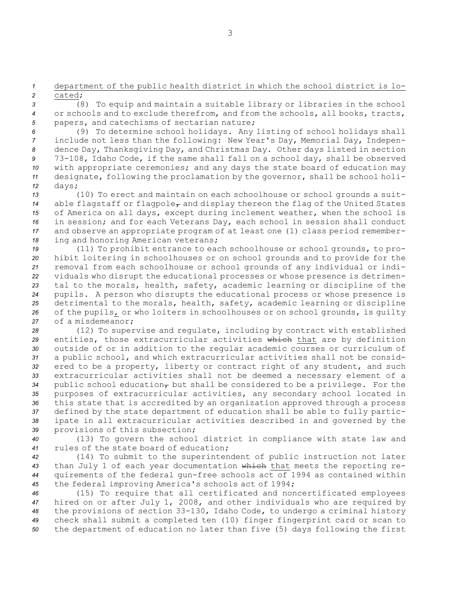*<sup>1</sup>* department of the public health district in which the school district is lo-*2* cated;

*<sup>3</sup>* (8) To equip and maintain <sup>a</sup> suitable library or libraries in the school *<sup>4</sup>* or schools and to exclude therefrom, and from the schools, all books, tracts, *<sup>5</sup>* papers, and catechisms of sectarian nature;

 (9) To determine school holidays. Any listing of school holidays shall include not less than the following: New Year's Day, Memorial Day, Indepen- dence Day, Thanksgiving Day, and Christmas Day. Other days listed in section 73-108, Idaho Code, if the same shall fall on <sup>a</sup> school day, shall be observed with appropriate ceremonies; and any days the state board of education may designate, following the proclamation by the governor, shall be school holi-*<sup>12</sup>* days;

 (10) To erect and maintain on each schoolhouse or school grounds <sup>a</sup> suit-14 able flagstaff or flagpole<sub>7</sub> and display thereon the flag of the United States of America on all days, except during inclement weather, when the school is in session; and for each Veterans Day, each school in session shall conduct and observe an appropriate program of at least one (1) class period remember-ing and honoring American veterans;

 (11) To prohibit entrance to each schoolhouse or school grounds, to pro- hibit loitering in schoolhouses or on school grounds and to provide for the removal from each schoolhouse or school grounds of any individual or indi- viduals who disrupt the educational processes or whose presence is detrimen- tal to the morals, health, safety, academic learning or discipline of the pupils. <sup>A</sup> person who disrupts the educational process or whose presence is detrimental to the morals, health, safety, academic learning or discipline of the pupils, or who loiters in schoolhouses or on school grounds, is guilty of <sup>a</sup> misdemeanor;

 (12) To supervise and regulate, including by contract with established entities, those extracurricular activities which that are by definition outside of or in addition to the regular academic courses or curriculum of <sup>a</sup> public school, and which extracurricular activities shall not be consid- ered to be <sup>a</sup> property, liberty or contract right of any student, and such extracurricular activities shall not be deemed <sup>a</sup> necessary element of <sup>a</sup> 34 public school education<sub> $\tau$ </sub> but shall be considered to be a privilege. For the purposes of extracurricular activities, any secondary school located in this state that is accredited by an organization approved through <sup>a</sup> process defined by the state department of education shall be able to fully partic- ipate in all extracurricular activities described in and governed by the provisions of this subsection;

*<sup>40</sup>* (13) To govern the school district in compliance with state law and *41* rules of the state board of education;

 (14) To submit to the superintendent of public instruction not later than July 1 of each year documentation which that meets the reporting re- quirements of the federal gun-free schools act of 1994 as contained within the federal improving America's schools act of 1994;

 (15) To require that all certificated and noncertificated employees hired on or after July 1, 2008, and other individuals who are required by the provisions of section 33-130, Idaho Code, to undergo <sup>a</sup> criminal history check shall submit <sup>a</sup> completed ten (10) finger fingerprint card or scan to the department of education no later than five (5) days following the first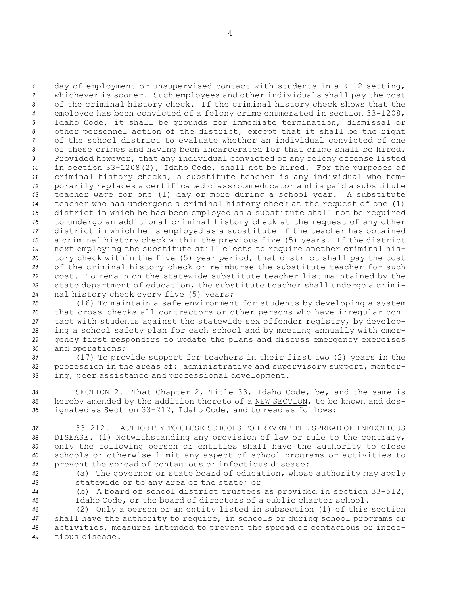day of employment or unsupervised contact with students in <sup>a</sup> K-12 setting, whichever is sooner. Such employees and other individuals shall pay the cost of the criminal history check. If the criminal history check shows that the employee has been convicted of <sup>a</sup> felony crime enumerated in section 33-1208, Idaho Code, it shall be grounds for immediate termination, dismissal or other personnel action of the district, except that it shall be the right of the school district to evaluate whether an individual convicted of one of these crimes and having been incarcerated for that crime shall be hired. Provided however, that any individual convicted of any felony offense listed in section 33-1208(2), Idaho Code, shall not be hired. For the purposes of criminal history checks, <sup>a</sup> substitute teacher is any individual who tem- porarily replaces <sup>a</sup> certificated classroom educator and is paid <sup>a</sup> substitute teacher wage for one (1) day or more during <sup>a</sup> school year. <sup>A</sup> substitute teacher who has undergone <sup>a</sup> criminal history check at the request of one (1) district in which he has been employed as <sup>a</sup> substitute shall not be required to undergo an additional criminal history check at the request of any other district in which he is employed as <sup>a</sup> substitute if the teacher has obtained <sup>a</sup> criminal history check within the previous five (5) years. If the district next employing the substitute still elects to require another criminal his- tory check within the five (5) year period, that district shall pay the cost of the criminal history check or reimburse the substitute teacher for such cost. To remain on the statewide substitute teacher list maintained by the state department of education, the substitute teacher shall undergo <sup>a</sup> crimi-nal history check every five (5) years;

 (16) To maintain <sup>a</sup> safe environment for students by developing <sup>a</sup> system that cross-checks all contractors or other persons who have irregular con-27 tact with students against the statewide sex offender registry<sub> $\tau$ </sub> by develop- ing <sup>a</sup> school safety plan for each school and by meeting annually with emer- gency first responders to update the plans and discuss emergency exercises and operations;

*<sup>31</sup>* (17) To provide support for teachers in their first two (2) years in the *<sup>32</sup>* profession in the areas of: administrative and supervisory support, mentor-*<sup>33</sup>* ing, peer assistance and professional development.

*<sup>34</sup>* SECTION 2. That Chapter 2, Title 33, Idaho Code, be, and the same is *<sup>35</sup>* hereby amended by the addition thereto of <sup>a</sup> NEW SECTION, to be known and des-*<sup>36</sup>* ignated as Section 33-212, Idaho Code, and to read as follows:

 33-212. AUTHORITY TO CLOSE SCHOOLS TO PREVENT THE SPREAD OF INFECTIOUS DISEASE. (1) Notwithstanding any provision of law or rule to the contrary, only the following person or entities shall have the authority to close schools or otherwise limit any aspect of school programs or activities to prevent the spread of contagious or infectious disease:

*<sup>42</sup>* (a) The governor or state board of education, whose authority may apply *<sup>43</sup>* statewide or to any area of the state; or

*<sup>44</sup>* (b) <sup>A</sup> board of school district trustees as provided in section 33-512, *<sup>45</sup>* Idaho Code, or the board of directors of <sup>a</sup> public charter school.

 (2) Only <sup>a</sup> person or an entity listed in subsection (1) of this section shall have the authority to require, in schools or during school programs or activities, measures intended to prevent the spread of contagious or infec-tious disease.